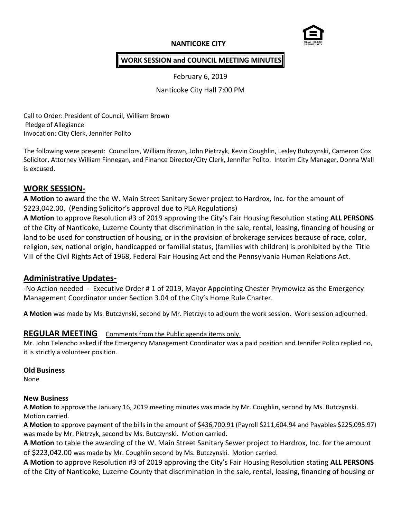# **NANTICOKE CITY**



## **WORK SESSION and COUNCIL MEETING MINUTES**

February 6, 2019

Nanticoke City Hall 7:00 PM

Call to Order: President of Council, William Brown Pledge of Allegiance Invocation: City Clerk, Jennifer Polito

The following were present: Councilors, William Brown, John Pietrzyk, Kevin Coughlin, Lesley Butczynski, Cameron Cox Solicitor, Attorney William Finnegan, and Finance Director/City Clerk, Jennifer Polito. Interim City Manager, Donna Wall is excused.

## **WORK SESSION-**

**A Motion** to award the the W. Main Street Sanitary Sewer project to Hardrox, Inc. for the amount of \$223,042.00. (Pending Solicitor's approval due to PLA Regulations)

**A Motion** to approve Resolution #3 of 2019 approving the City's Fair Housing Resolution stating **ALL PERSONS** of the City of Nanticoke, Luzerne County that discrimination in the sale, rental, leasing, financing of housing or land to be used for construction of housing, or in the provision of brokerage services because of race, color, religion, sex, national origin, handicapped or familial status, (families with children) is prohibited by the Title VIII of the Civil Rights Act of 1968, Federal Fair Housing Act and the Pennsylvania Human Relations Act.

# **Administrative Updates-**

-No Action needed - Executive Order # 1 of 2019, Mayor Appointing Chester Prymowicz as the Emergency Management Coordinator under Section 3.04 of the City's Home Rule Charter.

**A Motion** was made by Ms. Butczynski, second by Mr. Pietrzyk to adjourn the work session. Work session adjourned.

# **REGULAR MEETING** Comments from the Public agenda items only.

Mr. John Telencho asked if the Emergency Management Coordinator was a paid position and Jennifer Polito replied no, it is strictly a volunteer position.

### **Old Business**

None

### **New Business**

**A Motion** to approve the January 16, 2019 meeting minutes was made by Mr. Coughlin, second by Ms. Butczynski. Motion carried.

**A Motion** to approve payment of the bills in the amount of \$436,700.91 (Payroll \$211,604.94 and Payables \$225,095.97) was made by Mr. Pietrzyk, second by Ms. Butczynski. Motion carried.

**A Motion** to table the awarding of the W. Main Street Sanitary Sewer project to Hardrox, Inc. for the amount of \$223,042.00 was made by Mr. Coughlin second by Ms. Butczynski. Motion carried.

**A Motion** to approve Resolution #3 of 2019 approving the City's Fair Housing Resolution stating **ALL PERSONS** of the City of Nanticoke, Luzerne County that discrimination in the sale, rental, leasing, financing of housing or